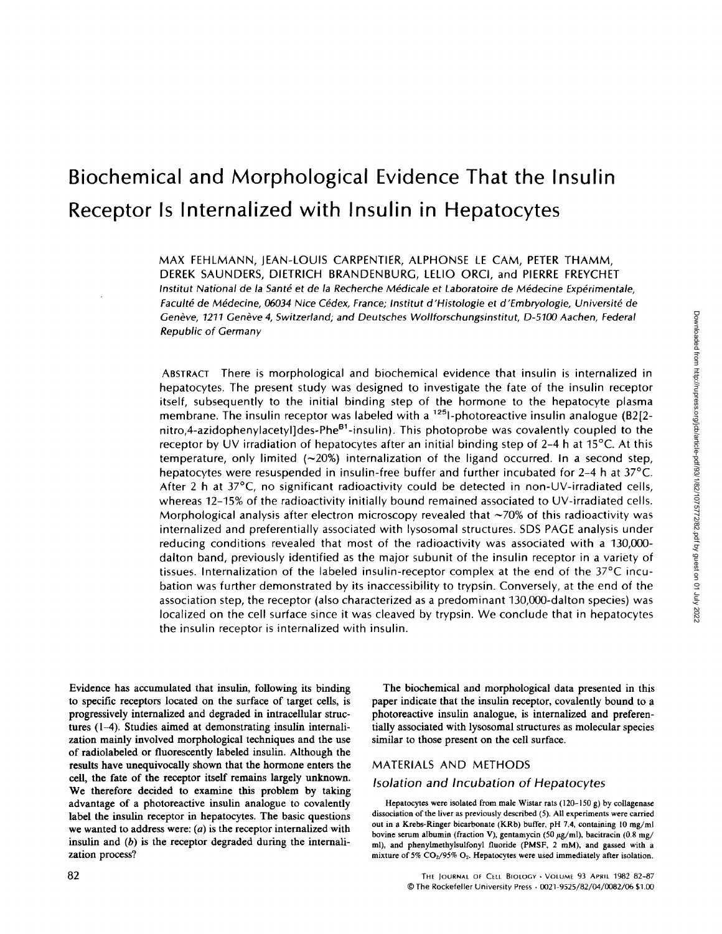# Biochemical and Morphological Evidence That the Insulin Receptor Is Internalized with Insulin in Hepatocytes

MAX FEHLMANN, JEAN-LOUIS CARPENTIER, ALPHONSE LE CAM, PETER THAMM, DEREK SAUNDERS, DIETRICH BRANDENBURG, LELIO ORCI, and PIERRE FREYCHET Institut National de la Santé et de la Recherche Médicale et Laboratoire de Médecine Expérimentale, Faculté de Médecine, 06034 Nice Cédex, France ; Institut d'Histologie et d'Embryologie, Université de Genève, 1211 Genève 4, Switzerland; and Deutsches Wollforschungsinstitut, D-5100 Aachen, Federal Republic of Germany

ABSTRACT There is morphological and biochemical evidence that insulin is internalized in hepatocytes. The present study was designed to investigate the fate of the insulin receptor itself, subsequently to the initial binding step of the hormone to the hepatocyte plasma membrane. The insulin receptor was labeled with a  $125$ -photoreactive insulin analogue (B2[2nitro,4-azidophenylacetyl]des-Phe<sup>B1</sup>-insulin). This photoprobe was covalently coupled to the receptor by UV irradiation of hepatocytes after an initial binding step of 2-4 h at 15°C. At this temperature, only limited  $(-20%)$  internalization of the ligand occurred. In a second step, hepatocytes were resuspended in insulin-free buffer and further incubated for 2-4 h at 37°C. After 2 h at 37°C, no significant radioactivity could be detected in non-UV-irradiated cells, whereas 12-15% of the radioactivity initially bound remained associated to UV-irradiated cells. Morphological analysis after electron microscopy revealed that  $\sim$ 70% of this radioactivity was internalized and preferentially associated with lysosomal structures . SDS PAGE analysis under reducing conditions revealed that most of the radioactivity was associated with a 130,000 dalton band, previously identified as the major subunit of the insulin receptor in a variety of tissues. Internalization of the labeled insulin-receptor complex at the end of the 37°C incubation was further demonstrated by its inaccessibility to trypsin . Conversely, at the end of the association step, the receptor (also characterized as a predominant 130,000-dalton species) was localized on the cell surface since it was cleaved by trypsin. We conclude that in hepatocytes the insulin receptor is internalized with insulin.

Evidence has accumulated that insulin, following its binding to specific receptors located on the surface of target cells, is progressively internalized and degraded in intracellular structures (1-4) . Studies aimed at demonstrating insulin internalization mainly involved morphological techniques and the use of radiolabeled or fluorescently labeled insulin. Although the results have unequivocally shown that the hormone enters the cell, the fate of the receptor itself remains largely unknown. We therefore decided to examine this problem by taking advantage of a photoreactive insulin analogue to covalently label the insulin receptor in hepatocytes. The basic questions we wanted to address were:  $(a)$  is the receptor internalized with insulin and  $(b)$  is the receptor degraded during the internalization process?

The biochemical and morphological data presented in this paper indicate that the insulin receptor, covalently bound to a photoreactive insulin analogue, is internalized and preferentially associated with lysosomal structures as molecular species similar to those present on the cell surface.

#### MATERIALS AND METHODS

#### Isolation and Incubation of Hepatocytes

Hepatocytes were isolated from male Wistar rats (120-150 g) by collagenase dissociation of the liver as previously described (5). All experiments were carried out in a Krebs-Ringer bicarbonate (KRb) buffer, pH 7.4, containing <sup>10</sup> mg/ml bovine serum albumin (fraction V), gentamycin (50  $\mu$ g/ml), bacitracin (0.8 mg/ ml), and phenylmethylsulfonyl fluoride (PMSF, 2 mM), and gassed with <sup>a</sup> mixture of 5%  $CO<sub>2</sub>/95% O<sub>2</sub>$ . Hepatocytes were used immediately after isolation.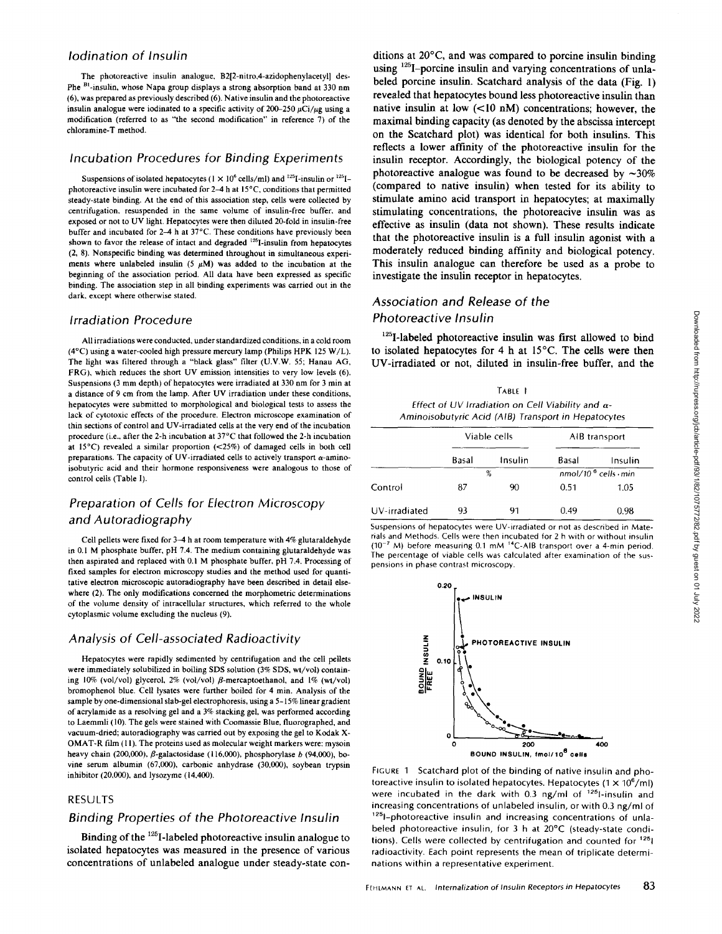#### Iodination of Insulin

The photoreactive insulin analogue, B2[2-nitro,4-azidophenylacetyl) des-Phe <sup>B1</sup>-insulin, whose Napa group displays a strong absorption band at 330 nm (6), was prepared as previously described (6). Native insulin and the photoreactive insulin analogue were iodinated to a specific activity of 200-250  $\mu$ Ci/ $\mu$ g using a modification (referred to as "the second modification" in reference 7) of the chloramine-T method.

#### Incubation Procedures for Binding Experiments

Suspensions of isolated hepatocytes ( $1 \times 10^6$  cells/ml) and <sup>125</sup>I-insulin or <sup>125</sup>Iphotoreactive insulin were incubated for 2-4 h at 15°C, conditions that permitted steady-state binding. At the end of this association step, cells were collected by centrifugation, resuspended in the same volume of insulin-free buffer, and exposed or not to UV light. Hepatocytes were then diluted 20-fold in insulin-free buffer and incubated for 2-4 h at 37°C . These conditions have previously been shown to favor the release of intact and degraded  $^{125}$ I-insulin from hepatocytes (2, 8) . Nonspecific binding was determined throughout in simultaneous experiments where unlabeled insulin (5  $\mu$ M) was added to the incubation at the beginning of the association period. All data have been expressed as specific binding. The association step in all binding experiments was carried out in the dark, except where otherwise stated.

#### Irradiation Procedure

Allirradiations were conducted, under standardized conditions, in acold room (4°C) using <sup>a</sup> water-cooled high pressure mercury lamp (Philips HPK <sup>125</sup> W/L). The light was filtered through a "black glass" filter (U.V.W. 55; Hanau AG, FRG), which reduces the short UV emission intensities to very low levels (6). Suspensions (3 mm depth) of hepatocytes were irradiated at 330 nm for 3 min at a distance of 9 cm from the lamp. After UV irradiation under these conditions, hepatocytes were submitted to morphological and biological tests to assess the lack of cytotoxic effects of the procedure. Electron microscope examination of thin sections of control and UV-irradiated cells at the very end of the incubation procedure (i.e., after the 2-h incubation at 37°C that followed the 2-h incubation at 15°C) revealed a similar proportion (<25%) of damaged cells in both cell preparations. The capacity of UV-irradiated cells to actively transport  $\alpha$ -aminoisobutyric acid and their hormone responsiveness were analogous to those of control cells (Table I).

## Preparation of Cells for Electron Microscopy and Autoradiography

Cell pellets were fixed for 3-4 h at room temperature with 4% glutaraldehyde in 0.1 M phosphate buffer, pH 7.4 . The medium containing glutaraldehyde was then aspirated and replaced with 0.1 M phosphate buffer, pH 7.4 . Processing of fixed samples for electron microscopy studies and the method used for quantitative electron microscopic autoradiography have been described in detail elsewhere (2). The only modifications concerned the morphometric determinations of the volume density of intracellular structures, which referred to the whole cytoplasmic volume excluding the nucleus (9).

### Analysis of Cell-associated Radioactivity

Hepatocytes were rapidly sedimented by centrifugation and the cell pellets were immediately solubilized in boiling SDS solution (3% SDS, wt/vol) containing 10% (vol/vol) glycerol, 2% (vol/vol)  $\beta$ -mercaptoethanol, and 1% (wt/vol) bromophenol blue . Cell lysates were further boiled for 4 min. Analysis of the sample by one-dimensional slab-gel electrophoresis, using a 5-15% linear gradient of acrylamide as a resolving gel and a 3% stacking gel, was performed according to Laemmli (l0). The gels were stained with Coomassie Blue, fluorographed, and vacuum-dried; autoradiography was carried out by exposing the gel to Kodak X-OMAT-R film (11). The proteins used as molecular weight markers were : mysoin heavy chain (200,000),  $\beta$ -galactosidase (116,000), phosphorylase b (94,000), bovine serum albumin (67,000), carbonic anhydrase (30,000), soybean trypsin inhibitor (20,000), and lysozyme (14,400).

#### RESULTS

#### Binding Properties of the Photoreactive Insulin

Binding of the <sup>125</sup>I-labeled photoreactive insulin analogue to isolated hepatocytes was measured in the presence of various concentrations of unlabeled analogue under steady-state conditions at 20°C, and was compared to porcine insulin binding using <sup>125</sup>I-porcine insulin and varying concentrations of unlabeled porcine insulin. Scatchard analysis of the data (Fig. 1) revealed that hepatocytes bound less photoreactive insulin than native insulin at low  $(<10 \text{ nM})$  concentrations; however, the maximal binding capacity (as denoted by the abscissa intercept on the Scatchard plot) was identical for both insulins . This reflects a lower affinity of the photoreactive insulin for the insulin receptor. Accordingly, the biological potency of the photoreactive analogue was found to be decreased by  $\sim$ 30% (compared to native insulin) when tested for its ability to stimulate amino acid transport in hepatocytes; at maximally stimulating concentrations, the photoreacive insulin was as effective as insulin (data not shown). These results indicate that the photoreactive insulin is a full insulin agonist with a moderately reduced binding affinity and biological potency. This insulin analogue can therefore be used as a probe to investigate the insulin receptor in hepatocytes.

## Association and Release of the Photoreactive Insulin

<sup>125</sup>I-labeled photoreactive insulin was first allowed to bind to isolated hepatocytes for 4 h at 15°C. The cells were then UV-irradiated or not, diluted in insulin-free buffer, and the

TABLE <sup>I</sup> Effect of UV Irradiation on Cell Viability and  $\alpha$ -Aminoisobutyric Acid (AIB) Transport in Hepatocytes

|               | Viable cells |         | AIB transport                |         |
|---------------|--------------|---------|------------------------------|---------|
|               | Basal        | Insulin | Basal                        | Insulin |
|               | %            |         | $nmol/106$ cells $\cdot$ min |         |
| Control       | 87           | 90      | 0.51                         | 1.05    |
| UV-irradiated | 93           | 91      | 0.49                         | 0.98    |

Suspensions of hepatocytes were UV-irradiated or not as described in Materials and Methods Cells were then incubated for <sup>2</sup> h with or without insulin  $(10^{-7}$  M) before measuring 0.1 mM <sup>14</sup>C-AIB transport over a 4-min period. The percentage of viable cells was calculated after examination of the suspensions in phase contrast microscopy



FIGURE <sup>1</sup> Scatchard plot of the binding of native insulin and photoreactive insulin to isolated hepatocytes. Hepatocytes  $(1 \times 10^6/\text{m})$ were incubated in the dark with 0.3 ng/ml of  $125$ 1-insulin and increasing concentrations of unlabeled insulin, or with 0.3 ng/ml of '1251-photoreactive insulin and increasing concentrations of unlabeled photoreactive insulin, for <sup>3</sup> <sup>h</sup> at 20°C (steady-state conditions). Cells were collected by centrifugation and counted for  $125$ | radioactivity. Each point represents the mean of triplicate determinations within a representative experiment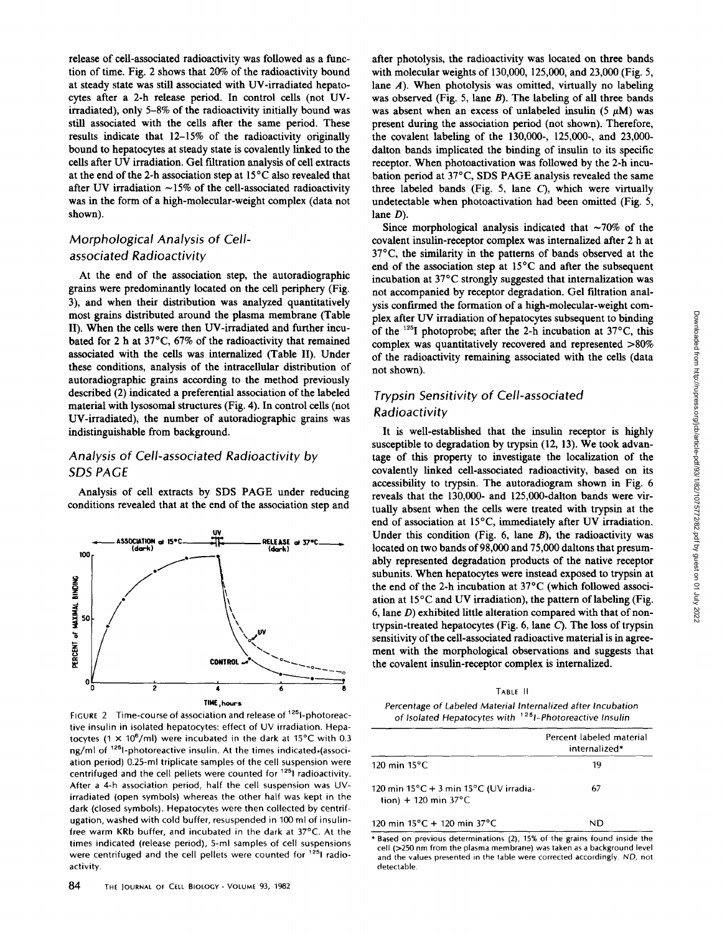release of cell-associated radioactivity was followed as a function of time. Fig. 2 shows that 20% of the radioactivity bound at steady state was still associated with UV-irradiated hepatocytes after a 2-h release period. In control cells (not UVirradiated), only 5-8% of the radioactivity initially bound was still associated with the cells after the same period. These results indicate that 12-15% of the radioactivity originally bound to hepatocytes at steady state is covalently linked to the cells after UV irradiation. Gel filtration analysis of cell extracts at the end of the 2-h association step at 15°C also revealed that after UV irradiation  $~15\%$  of the cell-associated radioactivity was in the form of a high-molecular-weight complex (data not shown).

## Morphological Analysis of Cellassociated Radioactivity

At the end of the association step, the autoradiographic grains were predominantly located on the cell periphery (Fig. 3), and when their distribution was analyzed quantitatively most grains distributed around the plasma membrane (Table 11) . When the cells were then UV-irradiated and further incubated for 2 h at 37°C, 67% of the radioactivity that remained associated with the cells was internalized (Table II). Under these conditions, analysis of the intracellular distribution of autoradiographic grains according to the method previously described (2) indicated a preferential association of the labeled material with lysosomal structures (Fig. 4). In control cells (not UV-irradiated), the number of autoradiographic grains was indistinguishable from background.

## Analysis of Cell-associated Radioactivity by SDS PAGE

Analysis of cell extracts by SDS PAGE under reducing conditions revealed that at the end of the association step and



FIGURE 2 Time-course of association and release of  $125$  l-photoreactive insulin in isolated hepatocytes: effect of UV irradiation. Hepatocytes (1  $\times$  10<sup>6</sup>/ml) were incubated in the dark at 15°C with 0.3 ng/ml of <sup>125</sup>l-photoreactive insulin. At the times indicated.(association period) 0.25-ml triplicate samples of the cell suspension were centrifuged and the cell pellets were counted for <sup>125</sup>1 radioactivity. After a 4-h association period, half the cell suspension was UVirradiated (open symbols) whereas the other half was kept in the dark (closed symbols) . Hepatocytes were then collected by centrifugation, washed with cold buffer, resuspended in 100 ml of insulinfree warm KRb buffer, and incubated in the dark at 37°C. At the times indicated (release period), 5-ml samples of cell suspensions were centrifuged and the cell pellets were counted for <sup>125</sup>l radioactivity.

after photolysis, the radioactivity was located on three bands with molecular weights of 130,000, 125,000, and 23,000 (Fig. 5, lane A). When photolysis was omitted, virtually no labeling was observed (Fig. 5, lane  $B$ ). The labeling of all three bands was absent when an excess of unlabeled insulin (5  $\mu$ M) was present during the association period (not shown). Therefore, the covalent labeling of the 130,000-, 125,000-, and 23,000 dalton bands implicated the binding of insulin to its specific receptor. When photoactivation was followed by the 2-h incubation period at 37°C, SDS PAGE analysis revealed the same three labeled bands (Fig. 5, lane C), which were virtually undetectable when photoactivation had been omitted (Fig. 5, lane  $D$ ).

Since morphological analysis indicated that  $\sim 70\%$  of the covalent insulin-receptor complex was internalized after 2 h at 37°C, the similarity in the patterns of bands observed at the end of the association step at 15°C and after the subsequent incubation at 37°C strongly suggested that internalization was not accompanied by receptor degradation . Gel filtration analysis confirmed the formation of a high-molecular-weight complex after UV irradiation of hepatocytes subsequent to binding of the  $125I$  photoprobe; after the 2-h incubation at 37°C, this complex was quantitatively recovered and represented >80% of the radioactivity remaining associated with the cells (data not shown).

## Trypsin Sensitivity of Cell-associated Radioactivity

It is well-established that the insulin receptor is highly susceptible to degradation by trypsin (12, 13). We took advantage of this property to investigate the localization of the covalently linked cell-associated radioactivity, based on its accessibility to trypsin. The autoradiogram shown in Fig. 6 reveals that the 130,000- and 125,000-dalton bands were virtually absent when the cells were treated with trypsin at the end of association at 15°C, immediately after UV irradiation. Under this condition (Fig.  $6$ , lane  $B$ ), the radioactivity was located on two bands of 98,000 and 75,000 daltons that presumably represented degradation products of the native receptor subunits. When hepatocytes were instead exposed to trypsin at the end of the 2-h incubation at 37°C (which followed association at 15°C and UV irradiation), the pattern of labeling (Fig. 6, lane  $D$ ) exhibited little alteration compared with that of nontrypsin-treated hepatocytes (Fig.  $6$ , lane  $C$ ). The loss of trypsin sensitivity of the cell-associated radioactive material is in agreement with the morphological observations and suggests that the covalent insulin-receptor complex is internalized . ble and UV irradiation of hepatocytes uses used to the colling of the two matrix is the solution of the term of the radioactivity remaining associated with the cells (data of the radioactivity remaining associated with th

TABLE II

Percentage of Labeled Material Internalized after Incubation of Isolated Hepatocytes with <sup>125</sup>1-Photoreactive Insulin

|                                                                                               | Percent labeled material<br>internalized* |
|-----------------------------------------------------------------------------------------------|-------------------------------------------|
| $120 \text{ min} 15^{\circ}$ C                                                                | 19                                        |
| 120 min $15^{\circ}$ C + 3 min $15^{\circ}$ C (UV irradia-<br>tion) + 120 min 37 $^{\circ}$ C | 67                                        |
| 120 min $15^{\circ}$ C + 120 min 37 $^{\circ}$ C                                              | ND                                        |

' Based on previous determinations (2), 15% of the grains found inside the cell (>250 nm from the plasma membrane) was taken as <sup>a</sup> background level and the values presented in the table were corrected accordingly . ND, not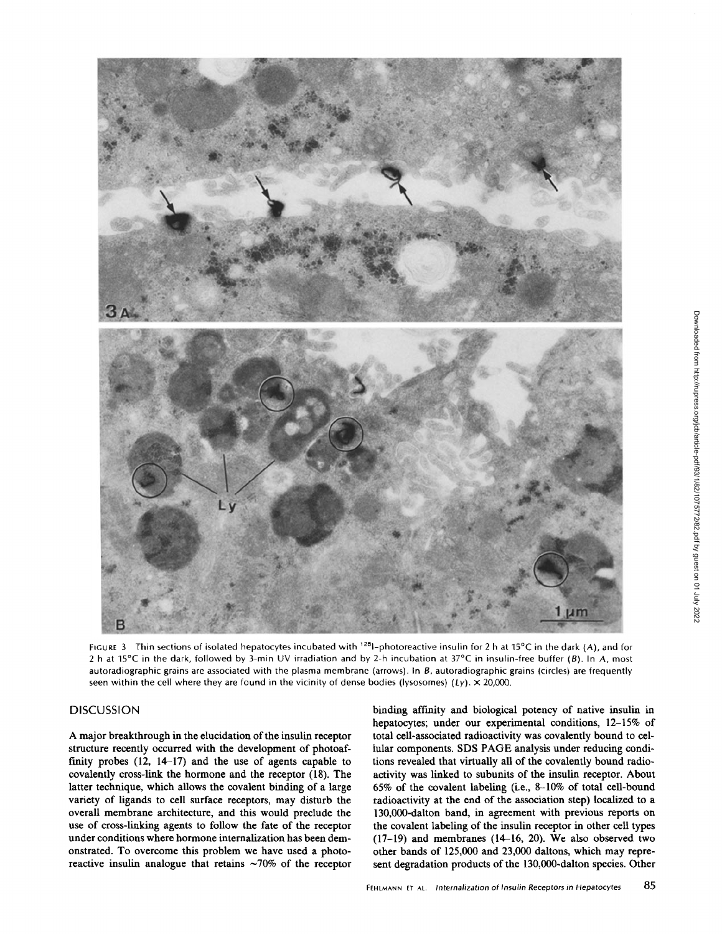

FIGURE 3 Thin sections of isolated hepatocytes incubated with  $125$ -photoreactive insulin for 2 h at 15°C in the dark (A), and for 2 h at 15°C in the dark, followed by 3-min UV irradiation and by 2-h incubation at 37°C in insulin-free buffer (B). In A, most autoradiographic grains are associated with the plasma membrane (arrows). In B, autoradiographic grains (circles) are frequently seen within the cell where they are found in the vicinity of dense bodies (lysosomes) (Ly).  $\times$  20,000.

#### **DISCUSSION**

A major breakthrough in the elucidation of the insulin receptor structure recently occurred with the development of photoaffinity probes  $(12, 14-17)$  and the use of agents capable to covalently cross-link the hormone and the receptor (18). The latter technique, which allows the covalent binding of a large variety of ligands to cell surface receptors, may disturb the overall membrane architecture, and this would preclude the use of cross-linking agents to follow the fate of the receptor under conditions where hormone internalization has beendemonstrated. To overcome this problem we have used a photoreactive insulin analogue that retains  $\sim 70\%$  of the receptor binding affinity and biological potency of native insulin in hepatocytes; under our experimental conditions, 12-15% of total cell-associated radioactivity was covalently bound to cellular components. SDS PAGE analysis under reducing conditions revealed that virtually all of the covalently bound radioactivity was linked to subunits of the insulin receptor . About 65% of the covalent labeling (i.e., 8-10% of total cell-bound radioactivity at the end of the association step) localized to a 130,000-dalton band, in agreement with previous reports on the covalent labeling of the insulin receptor in other cell types  $(17-19)$  and membranes  $(14-16, 20)$ . We also observed two other bands of 125,000 and 23,000 daltons, which may represent degradation products of the 130,000-dalton species. Other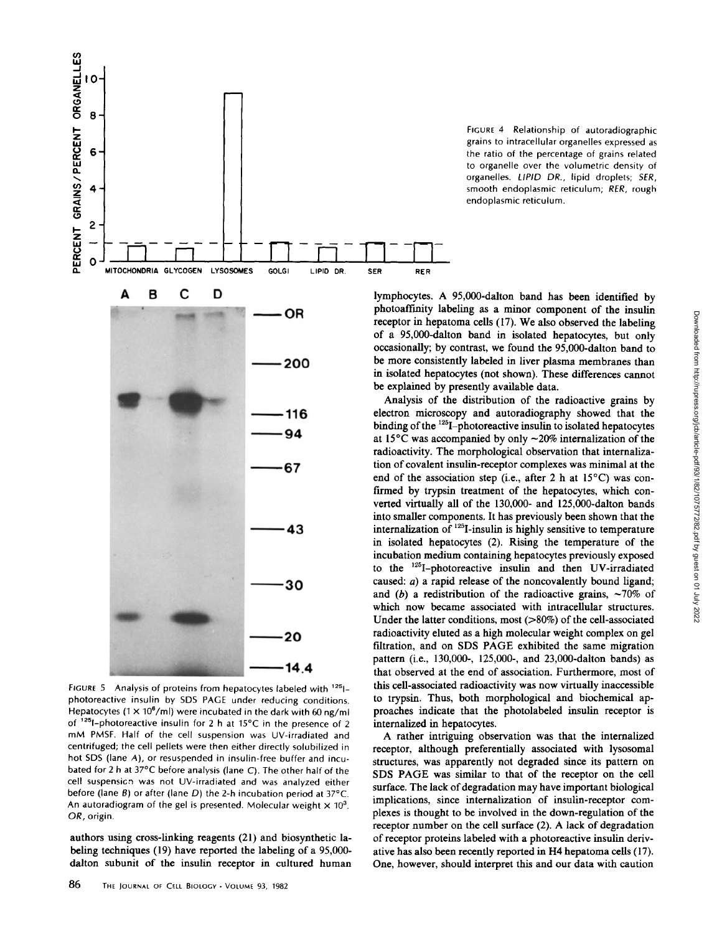

FIGURE 5 Analysis of proteins from hepatocytes labeled with <sup>125</sup>1photoreactive insulin by SDS PAGE under reducing conditions. Hepatocytes (1  $\times$  10<sup>6</sup>/ml) were incubated in the dark with 60 ng/ml of  $125$ -photoreactive insulin for 2 h at 15°C in the presence of 2 mM PMSF. Half of the cell suspension was UV-irradiated and centrifuged; the cell pellets were then either directly solubilized in hot SDS (lane A), or resuspended in insulin-free buffer and incubated for <sup>2</sup> h at 37°C before analysis (lane C) . The other half of the cell suspensicn was not UV-irradiated and was analyzed either before (lane  $B$ ) or after (lane  $D$ ) the 2-h incubation period at 37°C. An autoradiogram of the gel is presented. Molecular weight  $\times$  10<sup>3</sup>. OR, origin.

authors using cross-linking reagents (21) and biosynthetic labeling techniques (19) have reported the labeling of a 95,000 dalton subunit of the insulin receptor in cultured human

FIGURE 4 Relationship of autoradiographic grains to intracellular organelles expressed as the ratio of the percentage of grains related to organelle over the volumetric density of organelles. LIPID DR., lipid droplets; SER, smooth endoplasmic reticulum; RER, rough endoplasmic reticulum.

lymphocytes . A 95,000-dalton band has been identified by photoaffinity labeling as a minor component of the insulin receptor in hepatoma cells (17). We also observed the labeling of a 95,000-dalton band in isolated hepatocytes, but only occasionally; by contrast, we found the 95,000-dalton band to be more consistently labeled in liver plasma membranes than in isolated hepatocytes (not shown). These differences cannot be explained by presently available data.

Analysis of the distribution of the radioactive grains by electron microscopy and autoradiography showed that the binding of the <sup>125</sup>I-photoreactive insulin to isolated hepatocytes at 15 $\rm{^{\circ}C}$  was accompanied by only  $\sim$ 20% internalization of the radioactivity. The morphological observation that internalization of covalent insulin-receptor complexes was minimal at the end of the association step (i.e., after 2 h at  $15^{\circ}$ C) was confirmed by trypsin treatment of the hepatocytes, which converted virtually all of the 130,000- and 125,000-dalton bands into smaller components. It has previously been shown that the internalization of 125I-insulin is highly sensitive to temperature in isolated hepatocytes (2) . Rising the temperature of the incubation medium containing hepatocytes previously exposed to the <sup>125</sup>I-photoreactive insulin and then UV-irradiated caused:  $a$ ) a rapid release of the noncovalently bound ligand; and (b) a redistribution of the radioactive grains,  $\sim 70\%$  of which now became associated with intracellular structures. Under the latter conditions, most (>80%) of the cell-associated radioactivity eluted as a high molecular weight complex on gel filtration, and on SDS PAGE exhibited the same migration pattern (i.e., 130,000-, 125,000-, and 23,000-dalton bands) as that observed at the end of association . Furthermore, most of this cell-associated radioactivity was now virtually inaccessible to trypsin. Thus, both morphological and biochemical approaches indicate that the photolabeled insulin receptor is internalized in hepatocytes .

A rather intriguing observation was that the internalized receptor, although preferentially associated with lysosomal structures, was apparently not degraded since its pattern on SDS PAGE was similar to that of the receptor on the cell surface. The lack of degradation may have important biological implications, since internalization of insulin-receptor complexes is thought to be involved in the down-regulation of the receptor number on the cell surface (2). A lack of degradation of receptor proteins labeled with a photoreactive insulin derivative has also been recently reported in H4 hepatoma cells (17) . One, however, should interpret this and our data with caution